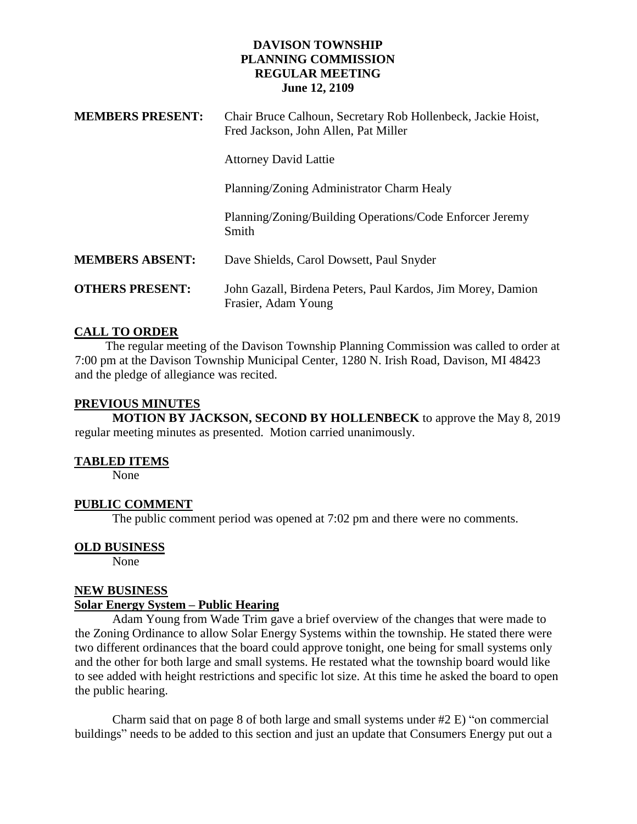| <b>MEMBERS PRESENT:</b> | Chair Bruce Calhoun, Secretary Rob Hollenbeck, Jackie Hoist,<br>Fred Jackson, John Allen, Pat Miller |
|-------------------------|------------------------------------------------------------------------------------------------------|
|                         | <b>Attorney David Lattie</b>                                                                         |
|                         | Planning/Zoning Administrator Charm Healy                                                            |
|                         | Planning/Zoning/Building Operations/Code Enforcer Jeremy<br>Smith                                    |
| <b>MEMBERS ABSENT:</b>  | Dave Shields, Carol Dowsett, Paul Snyder                                                             |
| <b>OTHERS PRESENT:</b>  | John Gazall, Birdena Peters, Paul Kardos, Jim Morey, Damion<br>Frasier, Adam Young                   |

## **CALL TO ORDER**

 The regular meeting of the Davison Township Planning Commission was called to order at 7:00 pm at the Davison Township Municipal Center, 1280 N. Irish Road, Davison, MI 48423 and the pledge of allegiance was recited.

## **PREVIOUS MINUTES**

**MOTION BY JACKSON, SECOND BY HOLLENBECK** to approve the May 8, 2019 regular meeting minutes as presented. Motion carried unanimously.

#### **TABLED ITEMS**

None

# **PUBLIC COMMENT**

The public comment period was opened at 7:02 pm and there were no comments.

#### **OLD BUSINESS**

None

### **NEW BUSINESS**

#### **Solar Energy System – Public Hearing**

Adam Young from Wade Trim gave a brief overview of the changes that were made to the Zoning Ordinance to allow Solar Energy Systems within the township. He stated there were two different ordinances that the board could approve tonight, one being for small systems only and the other for both large and small systems. He restated what the township board would like to see added with height restrictions and specific lot size. At this time he asked the board to open the public hearing.

Charm said that on page 8 of both large and small systems under #2 E) "on commercial buildings" needs to be added to this section and just an update that Consumers Energy put out a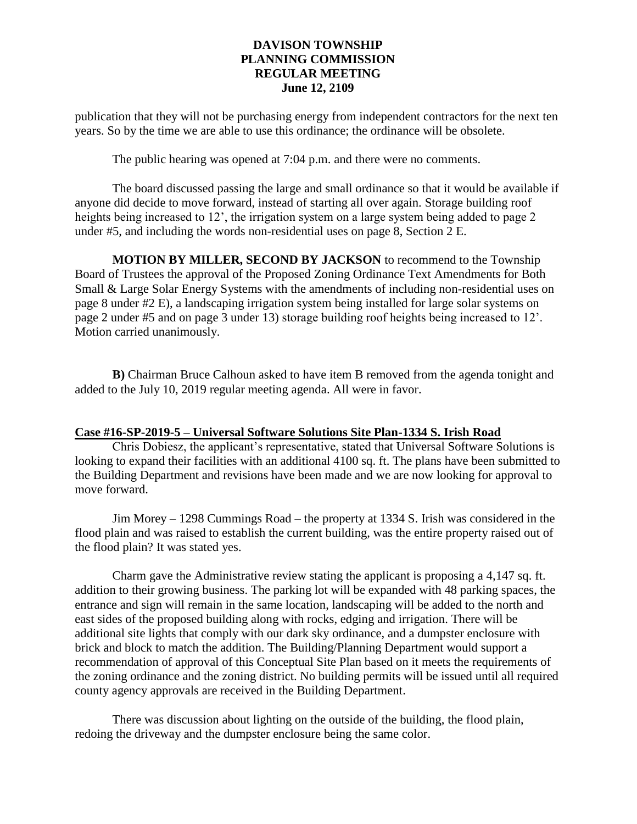publication that they will not be purchasing energy from independent contractors for the next ten years. So by the time we are able to use this ordinance; the ordinance will be obsolete.

The public hearing was opened at 7:04 p.m. and there were no comments.

The board discussed passing the large and small ordinance so that it would be available if anyone did decide to move forward, instead of starting all over again. Storage building roof heights being increased to 12<sup>'</sup>, the irrigation system on a large system being added to page 2 under #5, and including the words non-residential uses on page 8, Section 2 E.

**MOTION BY MILLER, SECOND BY JACKSON** to recommend to the Township Board of Trustees the approval of the Proposed Zoning Ordinance Text Amendments for Both Small & Large Solar Energy Systems with the amendments of including non-residential uses on page 8 under #2 E), a landscaping irrigation system being installed for large solar systems on page 2 under #5 and on page 3 under 13) storage building roof heights being increased to 12'. Motion carried unanimously.

**B)** Chairman Bruce Calhoun asked to have item B removed from the agenda tonight and added to the July 10, 2019 regular meeting agenda. All were in favor.

#### **Case #16-SP-2019-5 – Universal Software Solutions Site Plan-1334 S. Irish Road**

Chris Dobiesz, the applicant's representative, stated that Universal Software Solutions is looking to expand their facilities with an additional 4100 sq. ft. The plans have been submitted to the Building Department and revisions have been made and we are now looking for approval to move forward.

Jim Morey – 1298 Cummings Road – the property at 1334 S. Irish was considered in the flood plain and was raised to establish the current building, was the entire property raised out of the flood plain? It was stated yes.

Charm gave the Administrative review stating the applicant is proposing a 4,147 sq. ft. addition to their growing business. The parking lot will be expanded with 48 parking spaces, the entrance and sign will remain in the same location, landscaping will be added to the north and east sides of the proposed building along with rocks, edging and irrigation. There will be additional site lights that comply with our dark sky ordinance, and a dumpster enclosure with brick and block to match the addition. The Building/Planning Department would support a recommendation of approval of this Conceptual Site Plan based on it meets the requirements of the zoning ordinance and the zoning district. No building permits will be issued until all required county agency approvals are received in the Building Department.

There was discussion about lighting on the outside of the building, the flood plain, redoing the driveway and the dumpster enclosure being the same color.